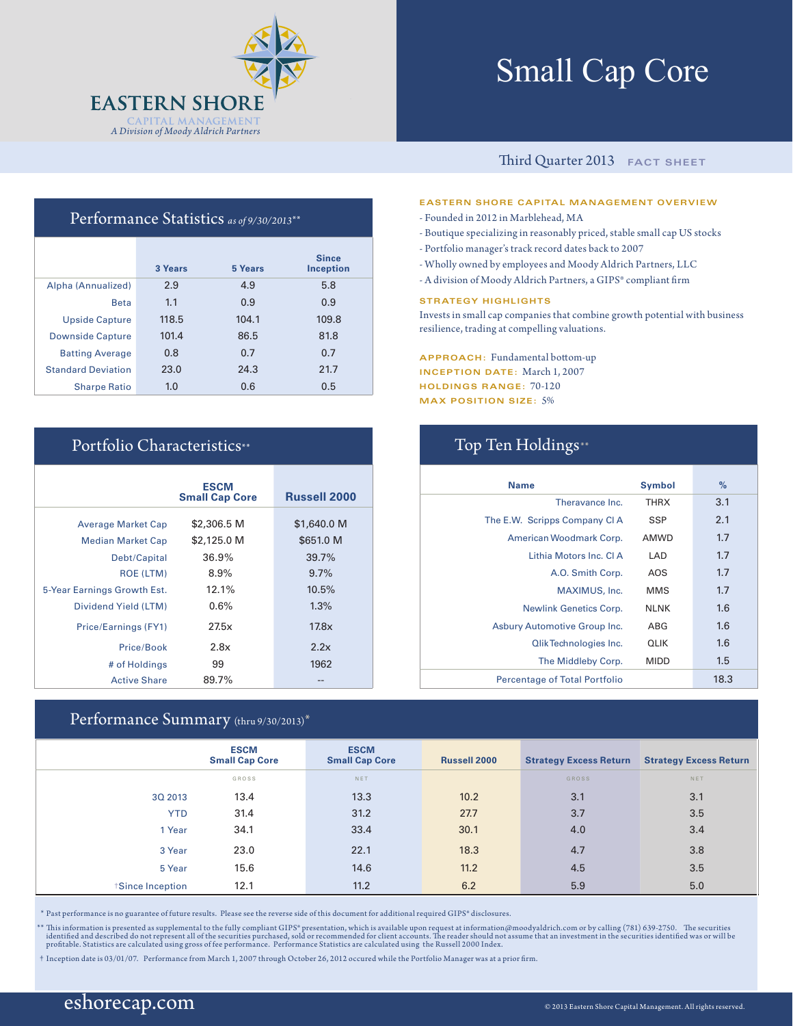

# Small Cap Core

### Third Quarter 2013 **FACT SHEET**

### **EASTERN SHORE CAPITAL MANAGEMENT OVERVIEW**

- Founded in 2012 in Marblehead, MA
- Boutique specializing in reasonably priced, stable small cap US stocks
- Portfolio manager's track record dates back to 2007
- Wholly owned by employees and Moody Aldrich Partners, LLC
- A division of Moody Aldrich Partners, a GIPS® compliant firm

#### **STRATEGY HIGHLIGHTS**

Invests in small cap companies that combine growth potential with business resilience, trading at compelling valuations.

**APPROACH:** Fundamental bottom-up **INCEPTION DATE:** March 1, 2007 **HOLDINGS RANGE:** 70-120 **MAX POSITION SIZE:** 5%

| <b>Name</b>                          | <b>Symbol</b> | %    |
|--------------------------------------|---------------|------|
| Theravance Inc.                      | <b>THRX</b>   | 3.1  |
| The E.W. Scripps Company CI A        | <b>SSP</b>    | 2.1  |
| American Woodmark Corp.              | <b>AMWD</b>   | 1.7  |
| Lithia Motors Inc. CLA               | LAD           | 1.7  |
| A.O. Smith Corp.                     | AOS           | 1.7  |
| MAXIMUS, Inc.                        | <b>MMS</b>    | 1.7  |
| <b>Newlink Genetics Corp.</b>        | <b>NLNK</b>   | 1.6  |
| Asbury Automotive Group Inc.         | ABG           | 1.6  |
| <b>Qlik Technologies Inc.</b>        | <b>QLIK</b>   | 1.6  |
| The Middleby Corp.                   | <b>MIDD</b>   | 1.5  |
| <b>Percentage of Total Portfolio</b> |               | 18.3 |

### Performance Statistics *as of 9/30/2013*\*\*

|                           | 3 Years | 5 Years | <b>Since</b><br><b>Inception</b> |
|---------------------------|---------|---------|----------------------------------|
| Alpha (Annualized)        | 2.9     | 4.9     | 5.8                              |
| <b>Beta</b>               | 1.1     | 0.9     | 0.9                              |
| <b>Upside Capture</b>     | 118.5   | 104.1   | 109.8                            |
| <b>Downside Capture</b>   | 101.4   | 86.5    | 81.8                             |
| <b>Batting Average</b>    | 0.8     | 0.7     | 0.7                              |
| <b>Standard Deviation</b> | 23.0    | 24.3    | 21.7                             |
| <b>Sharpe Ratio</b>       | 1.0     | 0.6     | 0.5                              |

### Portfolio Characteristics\*\* Top Ten Holdings\*\*

|                             | <b>ESCM</b><br><b>Small Cap Core</b> | <b>Russell 2000</b> |
|-----------------------------|--------------------------------------|---------------------|
| <b>Average Market Cap</b>   | \$2,306.5 M                          | \$1,640.0 M         |
| <b>Median Market Cap</b>    | \$2,125.0 M                          | \$651.0 M           |
| Debt/Capital                | 36.9%                                | 39.7%               |
| <b>ROE (LTM)</b>            | $8.9\%$                              | 9.7%                |
| 5-Year Earnings Growth Est. | 12.1%                                | 10.5%               |
| Dividend Yield (LTM)        | 0.6%                                 | 1.3%                |
| Price/Earnings (FY1)        | 27.5x                                | 17.8x               |
| Price/Book                  | 2.8x                                 | 2.2x                |
| # of Holdings               | 99                                   | 1962                |
| <b>Active Share</b>         | 89.7%                                |                     |

### Performance Summary (thru 9/30/2013)\*

|                 | <b>ESCM</b><br><b>Small Cap Core</b> | <b>ESCM</b><br><b>Small Cap Core</b> | <b>Russell 2000</b> | <b>Strategy Excess Return</b> | <b>Strategy Excess Return</b> |
|-----------------|--------------------------------------|--------------------------------------|---------------------|-------------------------------|-------------------------------|
|                 | GROSS                                | NET                                  |                     | <b>GROSS</b>                  | NET                           |
| 3Q 2013         | 13.4                                 | 13.3                                 | 10.2                | 3.1                           | 3.1                           |
| <b>YTD</b>      | 31.4                                 | 31.2                                 | 27.7                | 3.7                           | 3.5                           |
| 1 Year          | 34.1                                 | 33.4                                 | 30.1                | 4.0                           | 3.4                           |
| 3 Year          | 23.0                                 | 22.1                                 | 18.3                | 4.7                           | 3.8                           |
| 5 Year          | 15.6                                 | 14.6                                 | 11.2                | 4.5                           | 3.5                           |
| Since Inception | 12.1                                 | 11.2                                 | 6.2                 | 5.9                           | 5.0                           |

\* Past performance is no guarantee of future results. Please see the reverse side of this document for additional required GIPS® disclosures.

\*\* This information is presented as supplemental to the fully compliant GIPS\* presentation, which is available upon request at information@moodyaldrich.com or by calling (781) 639-2750. The securities identified was or w

† Inception date is 03/01/07. Performance from March 1, 2007 through October 26, 2012 occured while the Portfolio Manager was at a prior firm.